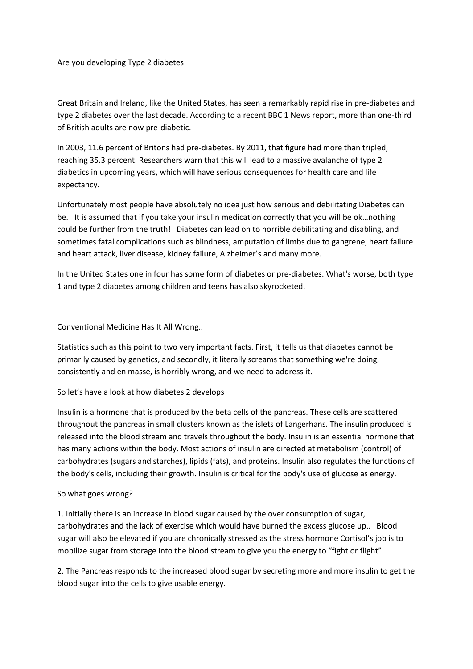Are you developing Type 2 diabetes

Great Britain and Ireland, like the United States, has seen a remarkably rapid rise in pre-diabetes and type 2 diabetes over the last decade. According to a recent BBC 1 News report, more than one-third of British adults are now pre-diabetic.

In 2003, 11.6 percent of Britons had pre-diabetes. By 2011, that figure had more than tripled, reaching 35.3 percent. Researchers warn that this will lead to a massive avalanche of type 2 diabetics in upcoming years, which will have serious consequences for health care and life expectancy.

Unfortunately most people have absolutely no idea just how serious and debilitating Diabetes can be. It is assumed that if you take your insulin medication correctly that you will be ok…nothing could be further from the truth! Diabetes can lead on to horrible debilitating and disabling, and sometimes fatal complications such as blindness, amputation of limbs due to gangrene, heart failure and heart attack, liver disease, kidney failure, Alzheimer's and many more.

In the United States one in four has some form of diabetes or pre-diabetes. What's worse, both type 1 and type 2 diabetes among children and teens has also skyrocketed.

Conventional Medicine Has It All Wrong..

Statistics such as this point to two very important facts. First, it tells us that diabetes cannot be primarily caused by genetics, and secondly, it literally screams that something we're doing, consistently and en masse, is horribly wrong, and we need to address it.

## So let's have a look at how diabetes 2 develops

Insulin is a hormone that is produced by the beta cells of the pancreas. These cells are scattered throughout the pancreas in small clusters known as the islets of Langerhans. The insulin produced is released into the blood stream and travels throughout the body. Insulin is an essential hormone that has many actions within the body. Most actions of insulin are directed at metabolism (control) of carbohydrates (sugars and starches), lipids (fats), and proteins. Insulin also regulates the functions of the body's cells, including their growth. Insulin is critical for the body's use of glucose as energy.

## So what goes wrong?

1. Initially there is an increase in blood sugar caused by the over consumption of sugar, carbohydrates and the lack of exercise which would have burned the excess glucose up.. Blood sugar will also be elevated if you are chronically stressed as the stress hormone Cortisol's job is to mobilize sugar from storage into the blood stream to give you the energy to "fight or flight"

2. The Pancreas responds to the increased blood sugar by secreting more and more insulin to get the blood sugar into the cells to give usable energy.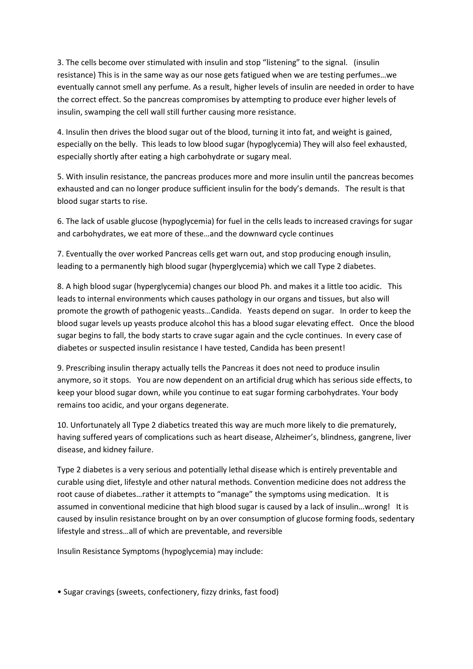3. The cells become over stimulated with insulin and stop "listening" to the signal. (insulin resistance) This is in the same way as our nose gets fatigued when we are testing perfumes…we eventually cannot smell any perfume. As a result, higher levels of insulin are needed in order to have the correct effect. So the pancreas compromises by attempting to produce ever higher levels of insulin, swamping the cell wall still further causing more resistance.

4. Insulin then drives the blood sugar out of the blood, turning it into fat, and weight is gained, especially on the belly. This leads to low blood sugar (hypoglycemia) They will also feel exhausted, especially shortly after eating a high carbohydrate or sugary meal.

5. With insulin resistance, the pancreas produces more and more insulin until the pancreas becomes exhausted and can no longer produce sufficient insulin for the body's demands. The result is that blood sugar starts to rise.

6. The lack of usable glucose (hypoglycemia) for fuel in the cells leads to increased cravings for sugar and carbohydrates, we eat more of these…and the downward cycle continues

7. Eventually the over worked Pancreas cells get warn out, and stop producing enough insulin, leading to a permanently high blood sugar (hyperglycemia) which we call Type 2 diabetes.

8. A high blood sugar (hyperglycemia) changes our blood Ph. and makes it a little too acidic. This leads to internal environments which causes pathology in our organs and tissues, but also will promote the growth of pathogenic yeasts…Candida. Yeasts depend on sugar. In order to keep the blood sugar levels up yeasts produce alcohol this has a blood sugar elevating effect. Once the blood sugar begins to fall, the body starts to crave sugar again and the cycle continues. In every case of diabetes or suspected insulin resistance I have tested, Candida has been present!

9. Prescribing insulin therapy actually tells the Pancreas it does not need to produce insulin anymore, so it stops. You are now dependent on an artificial drug which has serious side effects, to keep your blood sugar down, while you continue to eat sugar forming carbohydrates. Your body remains too acidic, and your organs degenerate.

10. Unfortunately all Type 2 diabetics treated this way are much more likely to die prematurely, having suffered years of complications such as heart disease, Alzheimer's, blindness, gangrene, liver disease, and kidney failure.

Type 2 diabetes is a very serious and potentially lethal disease which is entirely preventable and curable using diet, lifestyle and other natural methods. Convention medicine does not address the root cause of diabetes…rather it attempts to "manage" the symptoms using medication. It is assumed in conventional medicine that high blood sugar is caused by a lack of insulin…wrong! It is caused by insulin resistance brought on by an over consumption of glucose forming foods, sedentary lifestyle and stress…all of which are preventable, and reversible

Insulin Resistance Symptoms (hypoglycemia) may include:

• Sugar cravings (sweets, confectionery, fizzy drinks, fast food)